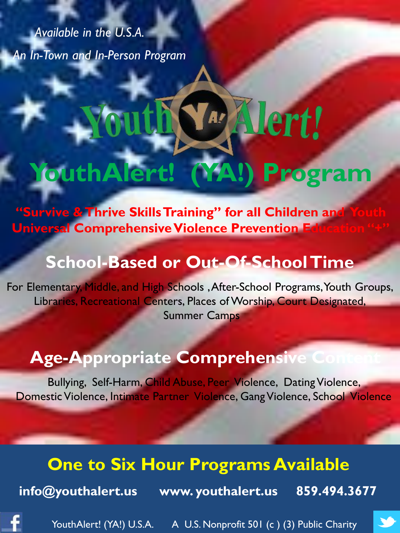*Available in the U.S.A. An In-Town and In-Person Program*

# **Jert! YouthAlert! (YA!) Program**

**"Survive & Thrive Skills Training" for all Children and Universal Comprehensive Violence Prevention Education : Education : Education : Education : Education : Education : Education : Education : Education : Education : Education : Education : Education : Education : Education** 

## **School-Based or Out-Of-School Time**

For Elementary, Middle, and High Schools , After-School Programs, Youth Groups, Libraries, Recreational Centers, Places of Worship, Court Designated, Summer Camps

## **Age-Appropriate Comprehensive**

Bullying, Self-Harm, Child Abuse, Peer Violence, Dating Violence, Domestic Violence, Intimate Partner Violence, Gang Violence, School Violence

#### **One to Six Hour Programs Available**

**info@youthalert.us www. youthalert.us 859.494.3677**

YouthAlert! (YA!) U.S.A. A U.S. Nonprofit 501 (c) (3) Public Charity